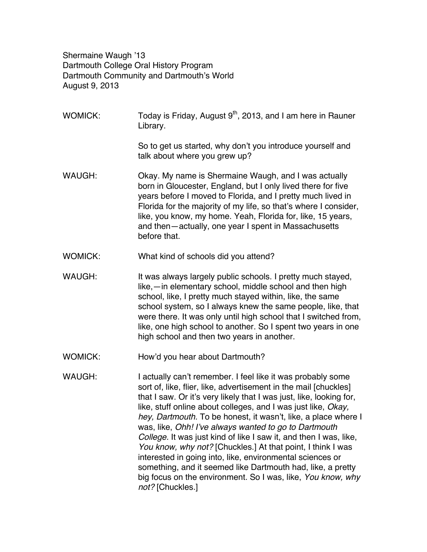Shermaine Waugh '13 Dartmouth College Oral History Program Dartmouth Community and Dartmouth's World August 9, 2013

- WOMICK: Today is Friday, August  $9<sup>th</sup>$ , 2013, and I am here in Rauner Library. So to get us started, why don't you introduce yourself and talk about where you grew up? WAUGH: Okay. My name is Shermaine Waugh, and I was actually born in Gloucester, England, but I only lived there for five years before I moved to Florida, and I pretty much lived in Florida for the majority of my life, so that's where I consider, like, you know, my home. Yeah, Florida for, like, 15 years, and then—actually, one year I spent in Massachusetts before that. WOMICK: What kind of schools did you attend? WAUGH: It was always largely public schools. I pretty much stayed, like,—in elementary school, middle school and then high school, like, I pretty much stayed within, like, the same school system, so I always knew the same people, like, that were there. It was only until high school that I switched from, like, one high school to another. So I spent two years in one high school and then two years in another. WOMICK: How'd you hear about Dartmouth? WAUGH: I actually can't remember. I feel like it was probably some sort of, like, flier, like, advertisement in the mail [chuckles] that I saw. Or it's very likely that I was just, like, looking for, like, stuff online about colleges, and I was just like, *Okay, hey, Dartmouth.* To be honest, it wasn't, like, a place where I was, like, *Ohh! I've always wanted to go to Dartmouth* 
	- *College.* It was just kind of like I saw it, and then I was, like, *You know, why not?* [Chuckles.] At that point, I think I was interested in going into, like, environmental sciences or something, and it seemed like Dartmouth had, like, a pretty big focus on the environment. So I was, like, *You know, why not?* [Chuckles.]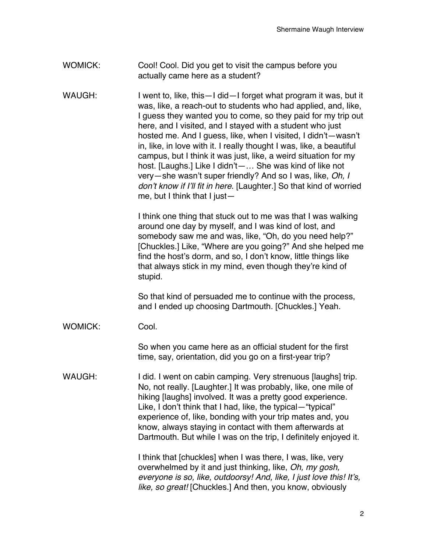## WOMICK: Cool! Cool. Did you get to visit the campus before you actually came here as a student?

WAUGH: I went to, like, this—I did—I forget what program it was, but it was, like, a reach-out to students who had applied, and, like, I guess they wanted you to come, so they paid for my trip out here, and I visited, and I stayed with a student who just hosted me. And I guess, like, when I visited, I didn't—wasn't in, like, in love with it. I really thought I was, like, a beautiful campus, but I think it was just, like, a weird situation for my host. [Laughs.] Like I didn't—… She was kind of like not very—she wasn't super friendly? And so I was, like, *Oh, I don't know if I'll fit in here*. [Laughter.] So that kind of worried me, but I think that I just—

> I think one thing that stuck out to me was that I was walking around one day by myself, and I was kind of lost, and somebody saw me and was, like, "Oh, do you need help?" [Chuckles.] Like, "Where are you going?" And she helped me find the host's dorm, and so, I don't know, little things like that always stick in my mind, even though they're kind of stupid.

So that kind of persuaded me to continue with the process, and I ended up choosing Dartmouth. [Chuckles.] Yeah.

WOMICK: Cool.

So when you came here as an official student for the first time, say, orientation, did you go on a first-year trip?

WAUGH: I did. I went on cabin camping. Very strenuous [laughs] trip. No, not really. [Laughter.] It was probably, like, one mile of hiking [laughs] involved. It was a pretty good experience. Like, I don't think that I had, like, the typical—"typical" experience of, like, bonding with your trip mates and, you know, always staying in contact with them afterwards at Dartmouth. But while I was on the trip, I definitely enjoyed it.

> I think that [chuckles] when I was there, I was, like, very overwhelmed by it and just thinking, like, *Oh, my gosh, everyone is so, like, outdoorsy! And, like, I just love this! It's, like, so great!* [Chuckles.] And then, you know, obviously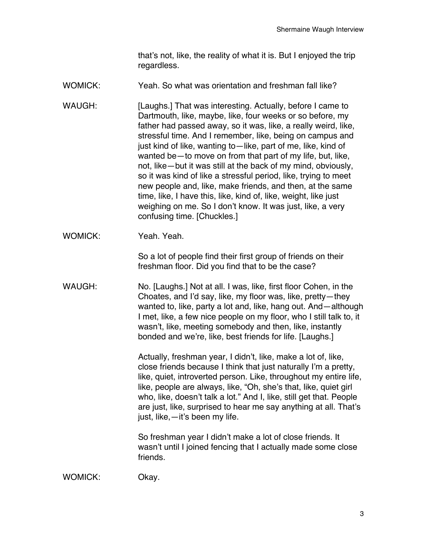that's not, like, the reality of what it is. But I enjoyed the trip regardless.

WOMICK: Yeah. So what was orientation and freshman fall like?

WAUGH: [Laughs.] That was interesting. Actually, before I came to Dartmouth, like, maybe, like, four weeks or so before, my father had passed away, so it was, like, a really weird, like, stressful time. And I remember, like, being on campus and just kind of like, wanting to—like, part of me, like, kind of wanted be—to move on from that part of my life, but, like, not, like—but it was still at the back of my mind, obviously, so it was kind of like a stressful period, like, trying to meet new people and, like, make friends, and then, at the same time, like, I have this, like, kind of, like, weight, like just weighing on me. So I don't know. It was just, like, a very confusing time. [Chuckles.]

WOMICK: Yeah. Yeah.

So a lot of people find their first group of friends on their freshman floor. Did you find that to be the case?

WAUGH: No. [Laughs.] Not at all. I was, like, first floor Cohen, in the Choates, and I'd say, like, my floor was, like, pretty—they wanted to, like, party a lot and, like, hang out. And—although I met, like, a few nice people on my floor, who I still talk to, it wasn't, like, meeting somebody and then, like, instantly bonded and we're, like, best friends for life. [Laughs.]

> Actually, freshman year, I didn't, like, make a lot of, like, close friends because I think that just naturally I'm a pretty, like, quiet, introverted person. Like, throughout my entire life, like, people are always, like, "Oh, she's that, like, quiet girl who, like, doesn't talk a lot." And I, like, still get that. People are just, like, surprised to hear me say anything at all. That's just, like,—it's been my life.

So freshman year I didn't make a lot of close friends. It wasn't until I joined fencing that I actually made some close friends.

WOMICK: Okay.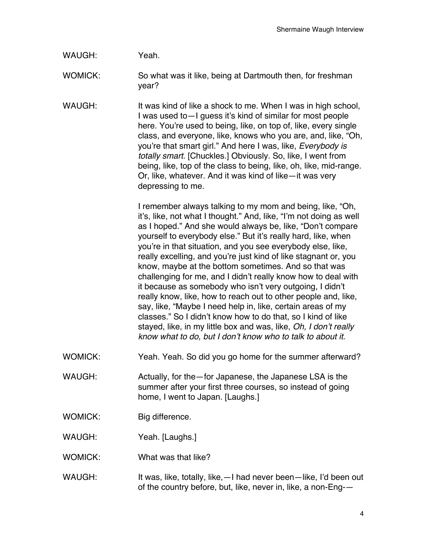WAUGH: Yeah.

WOMICK: So what was it like, being at Dartmouth then, for freshman year?

WAUGH: It was kind of like a shock to me. When I was in high school, I was used to—I guess it's kind of similar for most people here. You're used to being, like, on top of, like, every single class, and everyone, like, knows who you are, and, like, "Oh, you're that smart girl." And here I was, like, *Everybody is totally smart*. [Chuckles.] Obviously. So, like, I went from being, like, top of the class to being, like, oh, like, mid-range. Or, like, whatever. And it was kind of like—it was very depressing to me.

> I remember always talking to my mom and being, like, "Oh, it's, like, not what I thought." And, like, "I'm not doing as well as I hoped." And she would always be, like, "Don't compare yourself to everybody else." But it's really hard, like, when you're in that situation, and you see everybody else, like, really excelling, and you're just kind of like stagnant or, you know, maybe at the bottom sometimes. And so that was challenging for me, and I didn't really know how to deal with it because as somebody who isn't very outgoing, I didn't really know, like, how to reach out to other people and, like, say, like, "Maybe I need help in, like, certain areas of my classes." So I didn't know how to do that, so I kind of like stayed, like, in my little box and was, like, *Oh, I don't really know what to do, but I don't know who to talk to about it.*

- WOMICK: Yeah. Yeah. So did you go home for the summer afterward?
- WAUGH: Actually, for the—for Japanese, the Japanese LSA is the summer after your first three courses, so instead of going home, I went to Japan. [Laughs.]
- WOMICK: Big difference.
- WAUGH: Yeah. [Laughs.]
- WOMICK: What was that like?
- WAUGH: It was, like, totally, like,  $-1$  had never been—like, I'd been out of the country before, but, like, never in, like, a non-Eng-—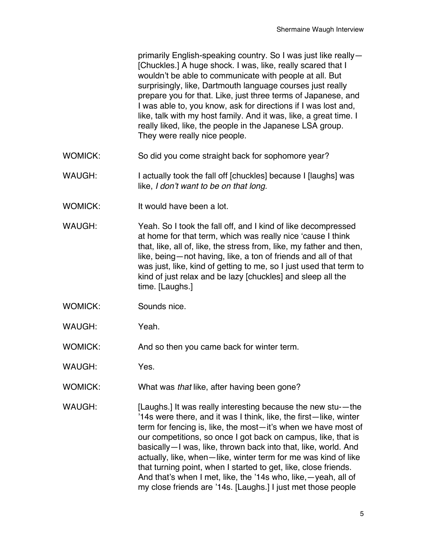primarily English-speaking country. So I was just like really— [Chuckles.] A huge shock. I was, like, really scared that I wouldn't be able to communicate with people at all. But surprisingly, like, Dartmouth language courses just really prepare you for that. Like, just three terms of Japanese, and I was able to, you know, ask for directions if I was lost and, like, talk with my host family. And it was, like, a great time. I really liked, like, the people in the Japanese LSA group. They were really nice people.

- WOMICK: So did you come straight back for sophomore year?
- WAUGH: I actually took the fall off [chuckles] because I [laughs] was like, *I don't want to be on that long.*
- WOMICK: It would have been a lot.
- WAUGH: Yeah. So I took the fall off, and I kind of like decompressed at home for that term, which was really nice 'cause I think that, like, all of, like, the stress from, like, my father and then, like, being—not having, like, a ton of friends and all of that was just, like, kind of getting to me, so I just used that term to kind of just relax and be lazy [chuckles] and sleep all the time. [Laughs.]
- WOMICK: Sounds nice.
- WAUGH: Yeah.
- WOMICK: And so then you came back for winter term.
- WAUGH: Yes.
- WOMICK: What was *that* like, after having been gone?
- WAUGH: [Laughs.] It was really interesting because the new stu-—the '14s were there, and it was I think, like, the first—like, winter term for fencing is, like, the most—it's when we have most of our competitions, so once I got back on campus, like, that is basically—I was, like, thrown back into that, like, world. And actually, like, when—like, winter term for me was kind of like that turning point, when I started to get, like, close friends. And that's when I met, like, the '14s who, like,—yeah, all of my close friends are '14s. [Laughs.] I just met those people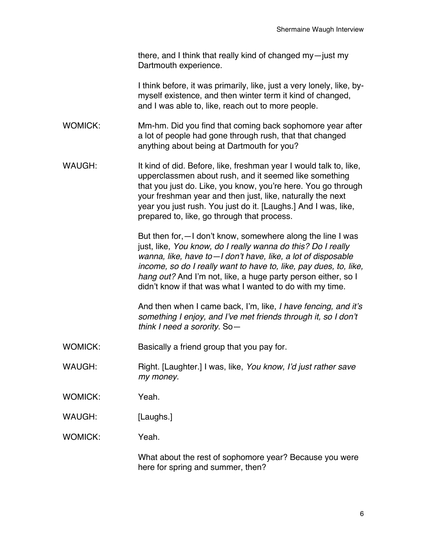there, and I think that really kind of changed my—just my Dartmouth experience.

I think before, it was primarily, like, just a very lonely, like, bymyself existence, and then winter term it kind of changed, and I was able to, like, reach out to more people.

WOMICK: Mm-hm. Did you find that coming back sophomore year after a lot of people had gone through rush, that that changed anything about being at Dartmouth for you?

WAUGH: It kind of did. Before, like, freshman year I would talk to, like, upperclassmen about rush, and it seemed like something that you just do. Like, you know, you're here. You go through your freshman year and then just, like, naturally the next year you just rush. You just do it. [Laughs.] And I was, like, prepared to, like, go through that process.

> But then for,—I don't know, somewhere along the line I was just, like, *You know, do I really wanna do this? Do I really wanna, like, have to—I don't have, like, a lot of disposable income, so do I really want to have to, like, pay dues, to, like, hang out?* And I'm not, like, a huge party person either, so I didn't know if that was what I wanted to do with my time.

> And then when I came back, I'm, like, *I have fencing, and it's something I enjoy, and I've met friends through it, so I don't think I need a sorority.* So—

- WOMICK: Basically a friend group that you pay for.
- WAUGH: Right. [Laughter.] I was, like, *You know, I'd just rather save my money.*
- WOMICK: Yeah.
- WAUGH: [Laughs.]
- WOMICK: Yeah.

What about the rest of sophomore year? Because you were here for spring and summer, then?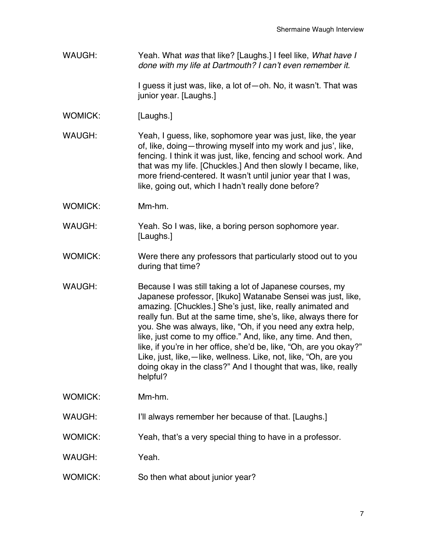WAUGH: Yeah. What *was* that like? [Laughs.] I feel like, *What have I done with my life at Dartmouth? I can't even remember it.*

> I guess it just was, like, a lot of—oh. No, it wasn't. That was junior year. [Laughs.]

WOMICK: [Laughs.]

WAUGH: Yeah, I quess, like, sophomore year was just, like, the year of, like, doing—throwing myself into my work and jus', like, fencing. I think it was just, like, fencing and school work. And that was my life. [Chuckles.] And then slowly I became, like, more friend-centered. It wasn't until junior year that I was, like, going out, which I hadn't really done before?

- WOMICK: Mm-hm.
- WAUGH: Yeah. So I was, like, a boring person sophomore year. [Laughs.]
- WOMICK: Were there any professors that particularly stood out to you during that time?
- WAUGH: Because I was still taking a lot of Japanese courses, my Japanese professor, [Ikuko] Watanabe Sensei was just, like, amazing. [Chuckles.] She's just, like, really animated and really fun. But at the same time, she's, like, always there for you. She was always, like, "Oh, if you need any extra help, like, just come to my office." And, like, any time. And then, like, if you're in her office, she'd be, like, "Oh, are you okay?" Like, just, like,—like, wellness. Like, not, like, "Oh, are you doing okay in the class?" And I thought that was, like, really helpful?

WOMICK: Mm-hm.

- WAUGH: I'll always remember her because of that. [Laughs.]
- WOMICK: Yeah, that's a very special thing to have in a professor.
- WAUGH: Yeah.
- WOMICK: So then what about junior year?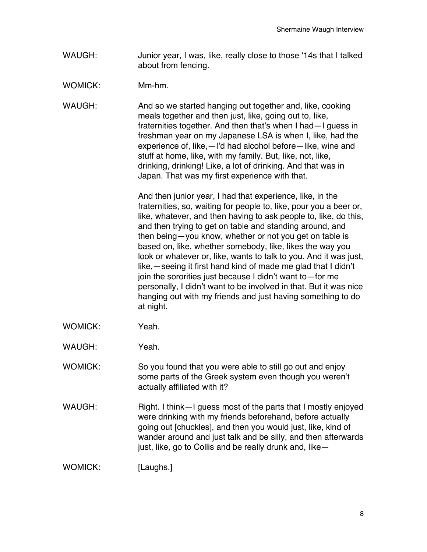- WAUGH: Junior year, I was, like, really close to those '14s that I talked about from fencing.
- WOMICK: Mm-hm.

WAUGH: And so we started hanging out together and, like, cooking meals together and then just, like, going out to, like, fraternities together. And then that's when I had—I guess in freshman year on my Japanese LSA is when I, like, had the experience of, like,—I'd had alcohol before—like, wine and stuff at home, like, with my family. But, like, not, like, drinking, drinking! Like, a lot of drinking. And that was in Japan. That was my first experience with that.

> And then junior year, I had that experience, like, in the fraternities, so, waiting for people to, like, pour you a beer or, like, whatever, and then having to ask people to, like, do this, and then trying to get on table and standing around, and then being—you know, whether or not you get on table is based on, like, whether somebody, like, likes the way you look or whatever or, like, wants to talk to you. And it was just, like,—seeing it first hand kind of made me glad that I didn't join the sororities just because I didn't want to—for me personally, I didn't want to be involved in that. But it was nice hanging out with my friends and just having something to do at night.

- WOMICK: Yeah.
- WAUGH: Yeah.
- WOMICK: So you found that you were able to still go out and enjoy some parts of the Greek system even though you weren't actually affiliated with it?
- WAUGH: Right. I think—I guess most of the parts that I mostly enjoyed were drinking with my friends beforehand, before actually going out [chuckles], and then you would just, like, kind of wander around and just talk and be silly, and then afterwards just, like, go to Collis and be really drunk and, like—
- WOMICK: [Laughs.]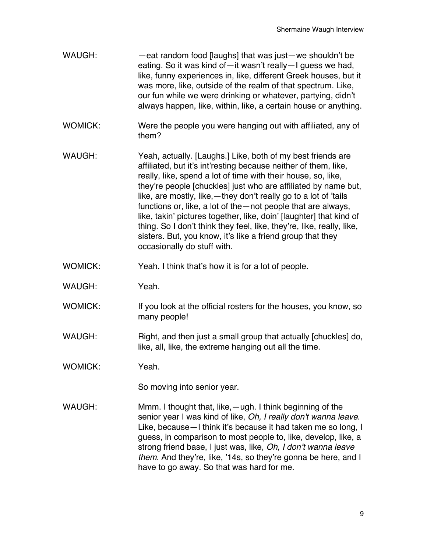- WAUGH: —eat random food [laughs] that was just—we shouldn't be eating. So it was kind of—it wasn't really—I guess we had, like, funny experiences in, like, different Greek houses, but it was more, like, outside of the realm of that spectrum. Like, our fun while we were drinking or whatever, partying, didn't always happen, like, within, like, a certain house or anything.
- WOMICK: Were the people you were hanging out with affiliated, any of them?
- WAUGH: Yeah, actually. [Laughs.] Like, both of my best friends are affiliated, but it's int'resting because neither of them, like, really, like, spend a lot of time with their house, so, like, they're people [chuckles] just who are affiliated by name but, like, are mostly, like,—they don't really go to a lot of 'tails functions or, like, a lot of the—not people that are always, like, takin' pictures together, like, doin' [laughter] that kind of thing. So I don't think they feel, like, they're, like, really, like, sisters. But, you know, it's like a friend group that they occasionally do stuff with.
- WOMICK: Yeah. I think that's how it is for a lot of people.
- WAUGH: Yeah.
- WOMICK: If you look at the official rosters for the houses, you know, so many people!
- WAUGH: Right, and then just a small group that actually [chuckles] do, like, all, like, the extreme hanging out all the time.
- WOMICK: Yeah.

So moving into senior year.

WAUGH: Mmm. I thought that, like, —ugh. I think beginning of the senior year I was kind of like, *Oh, I really don't wanna leave*. Like, because—I think it's because it had taken me so long, I guess, in comparison to most people to, like, develop, like, a strong friend base, I just was, like, *Oh, I don't wanna leave them*. And they're, like, '14s, so they're gonna be here, and I have to go away. So that was hard for me.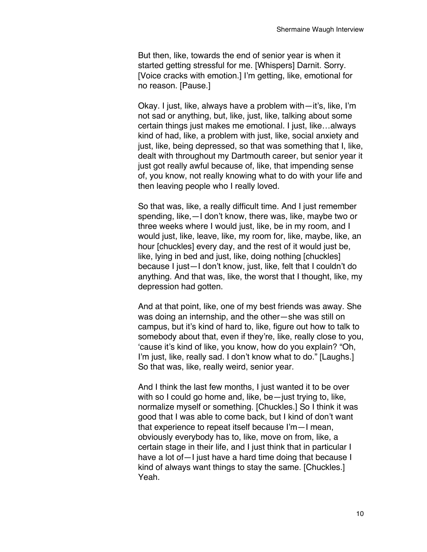But then, like, towards the end of senior year is when it started getting stressful for me. [Whispers] Darnit. Sorry. [Voice cracks with emotion.] I'm getting, like, emotional for no reason. [Pause.]

Okay. I just, like, always have a problem with—it's, like, I'm not sad or anything, but, like, just, like, talking about some certain things just makes me emotional. I just, like…always kind of had, like, a problem with just, like, social anxiety and just, like, being depressed, so that was something that I, like, dealt with throughout my Dartmouth career, but senior year it just got really awful because of, like, that impending sense of, you know, not really knowing what to do with your life and then leaving people who I really loved.

So that was, like, a really difficult time. And I just remember spending, like,—I don't know, there was, like, maybe two or three weeks where I would just, like, be in my room, and I would just, like, leave, like, my room for, like, maybe, like, an hour [chuckles] every day, and the rest of it would just be, like, lying in bed and just, like, doing nothing [chuckles] because I just—I don't know, just, like, felt that I couldn't do anything. And that was, like, the worst that I thought, like, my depression had gotten.

And at that point, like, one of my best friends was away. She was doing an internship, and the other—she was still on campus, but it's kind of hard to, like, figure out how to talk to somebody about that, even if they're, like, really close to you, 'cause it's kind of like, you know, how do you explain? "Oh, I'm just, like, really sad. I don't know what to do." [Laughs.] So that was, like, really weird, senior year.

And I think the last few months, I just wanted it to be over with so I could go home and, like, be—just trying to, like, normalize myself or something. [Chuckles.] So I think it was good that I was able to come back, but I kind of don't want that experience to repeat itself because I'm—I mean, obviously everybody has to, like, move on from, like, a certain stage in their life, and I just think that in particular I have a lot of—I just have a hard time doing that because I kind of always want things to stay the same. [Chuckles.] Yeah.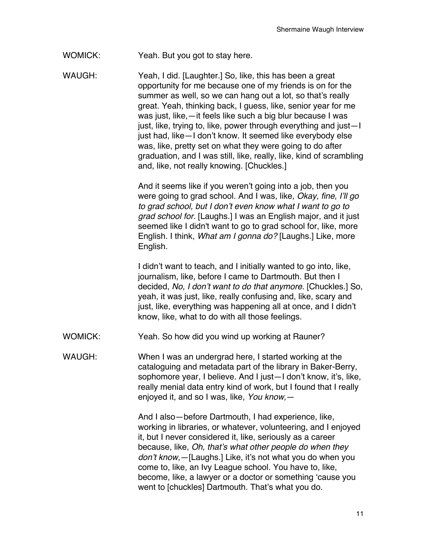WOMICK: Yeah. But you got to stay here.

WAUGH: Yeah, I did. [Laughter.] So, like, this has been a great opportunity for me because one of my friends is on for the summer as well, so we can hang out a lot, so that's really great. Yeah, thinking back, I guess, like, senior year for me was just, like,—it feels like such a big blur because I was just, like, trying to, like, power through everything and just—I just had, like—I don't know. It seemed like everybody else was, like, pretty set on what they were going to do after graduation, and I was still, like, really, like, kind of scrambling and, like, not really knowing. [Chuckles.]

> And it seems like if you weren't going into a job, then you were going to grad school. And I was, like, *Okay, fine, I'll go to grad school, but I don't even know what I want to go to grad school for.* [Laughs.] I was an English major, and it just seemed like I didn't want to go to grad school for, like, more English. I think, *What am I gonna do?* [Laughs.] Like, more English.

I didn't want to teach, and I initially wanted to go into, like, journalism, like, before I came to Dartmouth. But then I decided, *No, I don't want to do that anymore.* [Chuckles.] So, yeah, it was just, like, really confusing and, like, scary and just, like, everything was happening all at once, and I didn't know, like, what to do with all those feelings.

WOMICK: Yeah. So how did you wind up working at Rauner?

WAUGH: When I was an undergrad here, I started working at the cataloguing and metadata part of the library in Baker-Berry, sophomore year, I believe. And I just—I don't know, it's, like, really menial data entry kind of work, but I found that I really enjoyed it, and so I was, like, *You know,*—

> And I also—before Dartmouth, I had experience, like, working in libraries, or whatever, volunteering, and I enjoyed it, but I never considered it, like, seriously as a career because, like, *Oh, that's what other people do when they don't know,*—[Laughs.] Like, it's not what you do when you come to, like, an Ivy League school. You have to, like, become, like, a lawyer or a doctor or something 'cause you went to [chuckles] Dartmouth. That's what you do.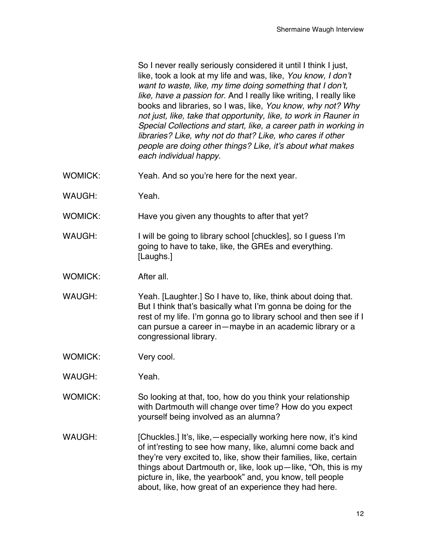So I never really seriously considered it until I think I just, like, took a look at my life and was, like, *You know, I don't want to waste, like, my time doing something that I don't, like, have a passion for.* And I really like writing, I really like books and libraries, so I was, like, *You know, why not? Why not just, like, take that opportunity, like, to work in Rauner in Special Collections and start, like, a career path in working in libraries? Like, why not do that? Like, who cares if other people are doing other things? Like, it's about what makes each individual happy.*

- WOMICK: Yeah. And so you're here for the next year.
- WAUGH: Yeah.
- WOMICK: Have you given any thoughts to after that yet?
- WAUGH: I will be going to library school [chuckles], so I guess I'm going to have to take, like, the GREs and everything. [Laughs.]
- WOMICK: After all.
- WAUGH: Yeah. [Laughter.] So I have to, like, think about doing that. But I think that's basically what I'm gonna be doing for the rest of my life. I'm gonna go to library school and then see if I can pursue a career in—maybe in an academic library or a congressional library.
- WOMICK: Very cool.
- WAUGH: Yeah.
- WOMICK: So looking at that, too, how do you think your relationship with Dartmouth will change over time? How do you expect yourself being involved as an alumna?
- WAUGH: [Chuckles.] It's, like,—especially working here now, it's kind of int'resting to see how many, like, alumni come back and they're very excited to, like, show their families, like, certain things about Dartmouth or, like, look up—like, "Oh, this is my picture in, like, the yearbook" and, you know, tell people about, like, how great of an experience they had here.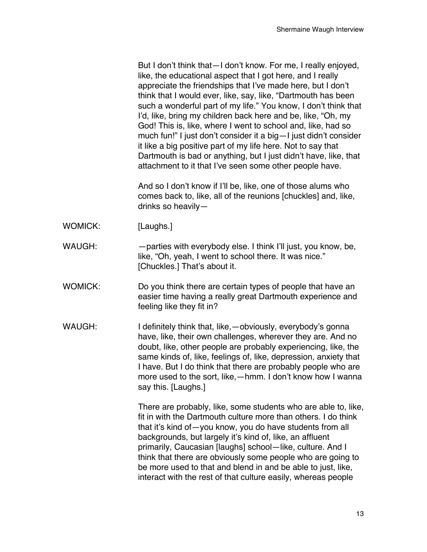But I don't think that—I don't know. For me, I really enjoyed, like, the educational aspect that I got here, and I really appreciate the friendships that I've made here, but I don't think that I would ever, like, say, like, "Dartmouth has been such a wonderful part of my life." You know, I don't think that I'd, like, bring my children back here and be, like, "Oh, my God! This is, like, where I went to school and, like, had so much fun!" I just don't consider it a big—I just didn't consider it like a big positive part of my life here. Not to say that Dartmouth is bad or anything, but I just didn't have, like, that attachment to it that I've seen some other people have.

And so I don't know if I'll be, like, one of those alums who comes back to, like, all of the reunions [chuckles] and, like, drinks so heavily—

- WOMICK: [Laughs.]
- WAUGH: parties with everybody else. I think I'll just, you know, be, like, "Oh, yeah, I went to school there. It was nice." [Chuckles.] That's about it.
- WOMICK: Do you think there are certain types of people that have an easier time having a really great Dartmouth experience and feeling like they fit in?
- WAUGH: I definitely think that, like, obviously, everybody's gonnal have, like, their own challenges, wherever they are. And no doubt, like, other people are probably experiencing, like, the same kinds of, like, feelings of, like, depression, anxiety that I have. But I do think that there are probably people who are more used to the sort, like,—hmm. I don't know how I wanna say this. [Laughs.]

There are probably, like, some students who are able to, like, fit in with the Dartmouth culture more than others. I do think that it's kind of—you know, you do have students from all backgrounds, but largely it's kind of, like, an affluent primarily, Caucasian [laughs] school—like, culture. And I think that there are obviously some people who are going to be more used to that and blend in and be able to just, like, interact with the rest of that culture easily, whereas people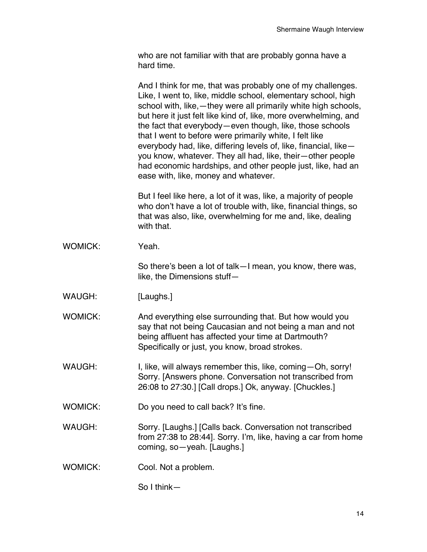who are not familiar with that are probably gonna have a hard time.

|                | And I think for me, that was probably one of my challenges.<br>Like, I went to, like, middle school, elementary school, high<br>school with, like, - they were all primarily white high schools,<br>but here it just felt like kind of, like, more overwhelming, and<br>the fact that everybody-even though, like, those schools<br>that I went to before were primarily white, I felt like<br>everybody had, like, differing levels of, like, financial, like-<br>you know, whatever. They all had, like, their-other people<br>had economic hardships, and other people just, like, had an<br>ease with, like, money and whatever. |
|----------------|--------------------------------------------------------------------------------------------------------------------------------------------------------------------------------------------------------------------------------------------------------------------------------------------------------------------------------------------------------------------------------------------------------------------------------------------------------------------------------------------------------------------------------------------------------------------------------------------------------------------------------------|
|                | But I feel like here, a lot of it was, like, a majority of people<br>who don't have a lot of trouble with, like, financial things, so<br>that was also, like, overwhelming for me and, like, dealing<br>with that.                                                                                                                                                                                                                                                                                                                                                                                                                   |
| <b>WOMICK:</b> | Yeah.                                                                                                                                                                                                                                                                                                                                                                                                                                                                                                                                                                                                                                |
|                | So there's been a lot of talk - I mean, you know, there was,<br>like, the Dimensions stuff-                                                                                                                                                                                                                                                                                                                                                                                                                                                                                                                                          |
| WAUGH:         | [Laughs.]                                                                                                                                                                                                                                                                                                                                                                                                                                                                                                                                                                                                                            |
| <b>WOMICK:</b> | And everything else surrounding that. But how would you<br>say that not being Caucasian and not being a man and not<br>being affluent has affected your time at Dartmouth?<br>Specifically or just, you know, broad strokes.                                                                                                                                                                                                                                                                                                                                                                                                         |
| <b>WAUGH:</b>  | I, like, will always remember this, like, coming - Oh, sorry!<br>Sorry. [Answers phone. Conversation not transcribed from<br>26:08 to 27:30.] [Call drops.] Ok, anyway. [Chuckles.]                                                                                                                                                                                                                                                                                                                                                                                                                                                  |
| WOMICK:        | Do you need to call back? It's fine.                                                                                                                                                                                                                                                                                                                                                                                                                                                                                                                                                                                                 |
| WAUGH:         | Sorry. [Laughs.] [Calls back. Conversation not transcribed<br>from 27:38 to 28:44]. Sorry. I'm, like, having a car from home<br>coming, so-yeah. [Laughs.]                                                                                                                                                                                                                                                                                                                                                                                                                                                                           |
| <b>WOMICK:</b> | Cool. Not a problem.                                                                                                                                                                                                                                                                                                                                                                                                                                                                                                                                                                                                                 |
|                | So I think-                                                                                                                                                                                                                                                                                                                                                                                                                                                                                                                                                                                                                          |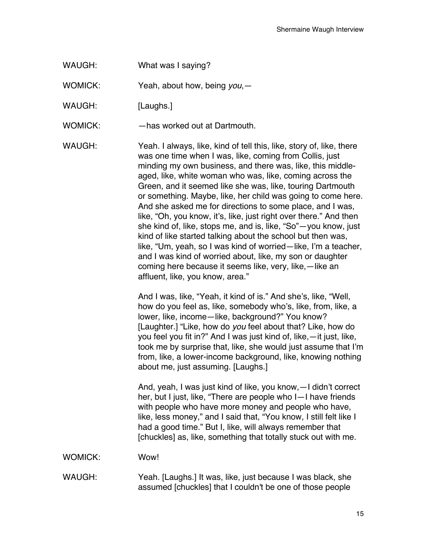WAUGH: What was I saying?

WOMICK: Yeah, about how, being *you*,—

WAUGH: [Laughs.]

WOMICK: —has worked out at Dartmouth.

WAUGH: Yeah. I always, like, kind of tell this, like, story of, like, there was one time when I was, like, coming from Collis, just minding my own business, and there was, like, this middleaged, like, white woman who was, like, coming across the Green, and it seemed like she was, like, touring Dartmouth or something. Maybe, like, her child was going to come here. And she asked me for directions to some place, and I was, like, "Oh, you know, it's, like, just right over there." And then she kind of, like, stops me, and is, like, "So"—you know, just kind of like started talking about the school but then was, like, "Um, yeah, so I was kind of worried—like, I'm a teacher, and I was kind of worried about, like, my son or daughter coming here because it seems like, very, like,—like an affluent, like, you know, area."

> And I was, like, "Yeah, it kind of is." And she's, like, "Well, how do you feel as, like, somebody who's, like, from, like, a lower, like, income—like, background?" You know? [Laughter.] "Like, how do *you* feel about that? Like, how do you feel you fit in?" And I was just kind of, like,—it just, like, took me by surprise that, like, she would just assume that I'm from, like, a lower-income background, like, knowing nothing about me, just assuming. [Laughs.]

And, yeah, I was just kind of like, you know,—I didn't correct her, but I just, like, "There are people who I—I have friends with people who have more money and people who have, like, less money," and I said that, "You know, I still felt like I had a good time." But I, like, will always remember that [chuckles] as, like, something that totally stuck out with me.

WOMICK: Wow!

WAUGH: Yeah. [Laughs.] It was, like, just because I was black, she assumed [chuckles] that I couldn't be one of those people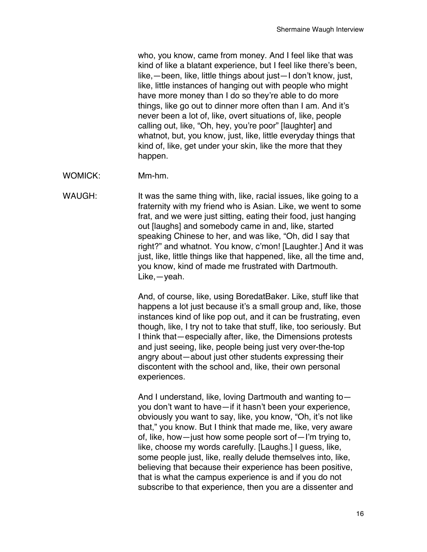who, you know, came from money. And I feel like that was kind of like a blatant experience, but I feel like there's been, like,—been, like, little things about just—I don't know, just, like, little instances of hanging out with people who might have more money than I do so they're able to do more things, like go out to dinner more often than I am. And it's never been a lot of, like, overt situations of, like, people calling out, like, "Oh, hey, you're poor" [laughter] and whatnot, but, you know, just, like, little everyday things that kind of, like, get under your skin, like the more that they happen.

WOMICK: Mm-hm.

WAUGH: It was the same thing with, like, racial issues, like going to a fraternity with my friend who is Asian. Like, we went to some frat, and we were just sitting, eating their food, just hanging out [laughs] and somebody came in and, like, started speaking Chinese to her, and was like, "Oh, did I say that right?" and whatnot. You know, c'mon! [Laughter.] And it was just, like, little things like that happened, like, all the time and, you know, kind of made me frustrated with Dartmouth. Like,—yeah.

> And, of course, like, using BoredatBaker. Like, stuff like that happens a lot just because it's a small group and, like, those instances kind of like pop out, and it can be frustrating, even though, like, I try not to take that stuff, like, too seriously. But I think that—especially after, like, the Dimensions protests and just seeing, like, people being just very over-the-top angry about—about just other students expressing their discontent with the school and, like, their own personal experiences.

And I understand, like, loving Dartmouth and wanting to you don't want to have—if it hasn't been your experience, obviously you want to say, like, you know, "Oh, it's not like that," you know. But I think that made me, like, very aware of, like, how—just how some people sort of—I'm trying to, like, choose my words carefully. [Laughs.] I guess, like, some people just, like, really delude themselves into, like, believing that because their experience has been positive, that is what the campus experience is and if you do not subscribe to that experience, then you are a dissenter and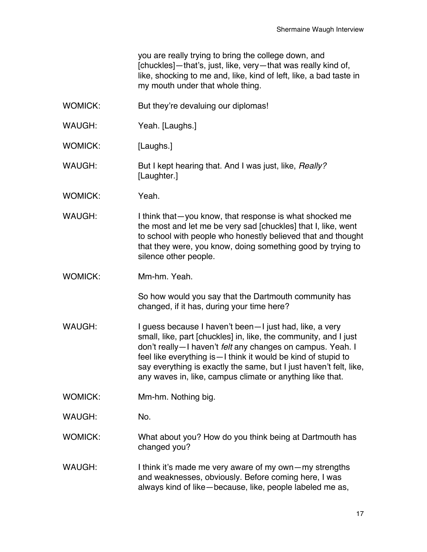you are really trying to bring the college down, and [chuckles]—that's, just, like, very—that was really kind of, like, shocking to me and, like, kind of left, like, a bad taste in my mouth under that whole thing.

- WOMICK: But they're devaluing our diplomas!
- WAUGH: Yeah. [Laughs.]
- WOMICK: [Laughs.]
- WAUGH: But I kept hearing that. And I was just, like, *Really?* [Laughter.]
- WOMICK: Yeah.
- WAUGH: I think that—you know, that response is what shocked me the most and let me be very sad [chuckles] that I, like, went to school with people who honestly believed that and thought that they were, you know, doing something good by trying to silence other people.
- WOMICK: Mm-hm. Yeah.

So how would you say that the Dartmouth community has changed, if it has, during your time here?

- WAUGH: I guess because I haven't been—I just had, like, a very small, like, part [chuckles] in, like, the community, and I just don't really—I haven't *felt* any changes on campus. Yeah. I feel like everything is—I think it would be kind of stupid to say everything is exactly the same, but I just haven't felt, like, any waves in, like, campus climate or anything like that.
- WOMICK: Mm-hm. Nothing big.
- WAUGH: No.
- WOMICK: What about you? How do you think being at Dartmouth has changed you?
- WAUGH: I think it's made me very aware of my own—my strengths and weaknesses, obviously. Before coming here, I was always kind of like—because, like, people labeled me as,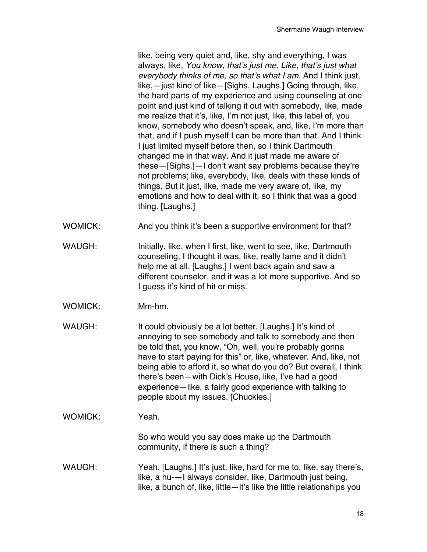like, being very quiet and, like, shy and everything, I was always, like, *You know, that's just me. Like, that's just what everybody thinks of me, so that's what I am.* And I think just, like,—just kind of like—[Sighs. Laughs.] Going through, like, the hard parts of my experience and using counseling at one point and just kind of talking it out with somebody, like, made me realize that it's, like, I'm not just, like, this label of, you know, somebody who doesn't speak, and, like, I'm more than that, and if I push myself I can be more than that. And I think I just limited myself before then, so I think Dartmouth changed me in that way. And it just made me aware of these—[Sighs.]—I don't want say problems because they're not problems; like, everybody, like, deals with these kinds of things. But it just, like, made me very aware of, like, my emotions and how to deal with it, so I think that was a good thing. [Laughs.]

- WOMICK: And you think it's been a supportive environment for that?
- WAUGH: Initially, like, when I first, like, went to see, like, Dartmouth counseling, I thought it was, like, really lame and it didn't help me at all. [Laughs.] I went back again and saw a different counselor, and it was a lot more supportive. And so I guess it's kind of hit or miss.
- WOMICK: Mm-hm.
- WAUGH: It could obviously be a lot better. [Laughs.] It's kind of annoying to see somebody and talk to somebody and then be told that, you know, "Oh, well, you're probably gonna have to start paying for this" or, like, whatever. And, like, not being able to afford it, so what do you do? But overall, I think there's been—with Dick's House, like, I've had a good experience—like, a fairly good experience with talking to people about my issues. [Chuckles.]
- WOMICK: Yeah.

So who would you say does make up the Dartmouth community, if there is such a thing?

WAUGH: Yeah. [Laughs.] It's just, like, hard for me to, like, say there's, like, a hu-—I always consider, like, Dartmouth just being, like, a bunch of, like, little—it's like the little relationships you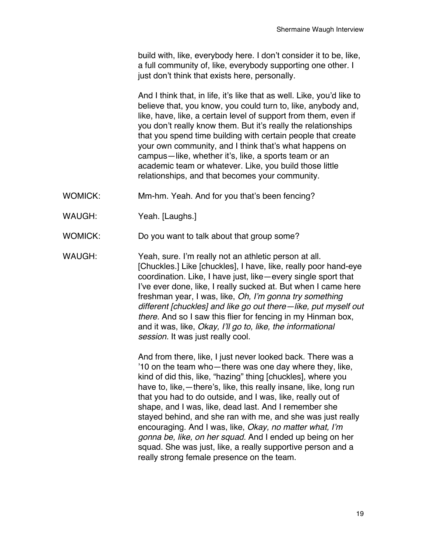build with, like, everybody here. I don't consider it to be, like, a full community of, like, everybody supporting one other. I just don't think that exists here, personally.

And I think that, in life, it's like that as well. Like, you'd like to believe that, you know, you could turn to, like, anybody and, like, have, like, a certain level of support from them, even if you don't really know them. But it's really the relationships that you spend time building with certain people that create your own community, and I think that's what happens on campus—like, whether it's, like, a sports team or an academic team or whatever. Like, you build those little relationships, and that becomes your community.

- WOMICK: Mm-hm. Yeah. And for you that's been fencing?
- WAUGH: Yeah. [Laughs.]
- WOMICK: Do you want to talk about that group some?

WAUGH: Yeah, sure. I'm really not an athletic person at all. [Chuckles.] Like [chuckles], I have, like, really poor hand-eye coordination. Like, I have just, like—every single sport that I've ever done, like, I really sucked at. But when I came here freshman year, I was, like, *Oh, I'm gonna try something different [chuckles] and like go out there—like, put myself out there.* And so I saw this flier for fencing in my Hinman box, and it was, like, *Okay, I'll go to, like, the informational session.* It was just really cool.

> And from there, like, I just never looked back. There was a '10 on the team who—there was one day where they, like, kind of did this, like, "hazing" thing [chuckles], where you have to, like,—there's, like, this really insane, like, long run that you had to do outside, and I was, like, really out of shape, and I was, like, dead last. And I remember she stayed behind, and she ran with me, and she was just really encouraging. And I was, like, *Okay, no matter what, I'm gonna be, like, on her squad.* And I ended up being on her squad. She was just, like, a really supportive person and a really strong female presence on the team.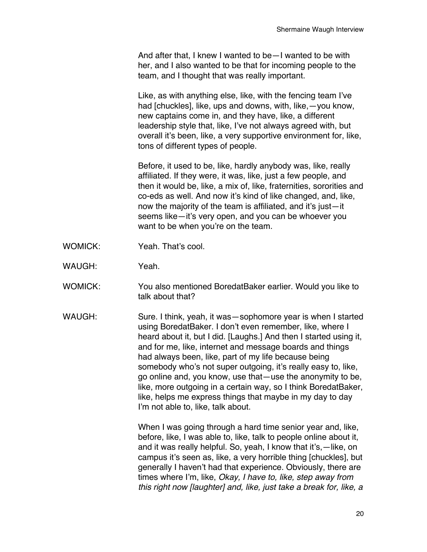And after that, I knew I wanted to be—I wanted to be with her, and I also wanted to be that for incoming people to the team, and I thought that was really important.

Like, as with anything else, like, with the fencing team I've had [chuckles], like, ups and downs, with, like,—you know, new captains come in, and they have, like, a different leadership style that, like, I've not always agreed with, but overall it's been, like, a very supportive environment for, like, tons of different types of people.

Before, it used to be, like, hardly anybody was, like, really affiliated. If they were, it was, like, just a few people, and then it would be, like, a mix of, like, fraternities, sororities and co-eds as well. And now it's kind of like changed, and, like, now the majority of the team is affiliated, and it's just—it seems like—it's very open, and you can be whoever you want to be when you're on the team.

- WOMICK: Yeah. That's cool.
- WAUGH: Yeah.
- WOMICK: You also mentioned BoredatBaker earlier. Would you like to talk about that?
- WAUGH: Sure. I think, yeah, it was—sophomore year is when I started using BoredatBaker. I don't even remember, like, where I heard about it, but I did. [Laughs.] And then I started using it, and for me, like, internet and message boards and things had always been, like, part of my life because being somebody who's not super outgoing, it's really easy to, like, go online and, you know, use that—use the anonymity to be, like, more outgoing in a certain way, so I think BoredatBaker, like, helps me express things that maybe in my day to day I'm not able to, like, talk about.

When I was going through a hard time senior year and, like, before, like, I was able to, like, talk to people online about it, and it was really helpful. So, yeah, I know that it's,—like, on campus it's seen as, like, a very horrible thing [chuckles], but generally I haven't had that experience. Obviously, there are times where I'm, like, *Okay, I have to, like, step away from this right now [laughter] and, like, just take a break for, like, a*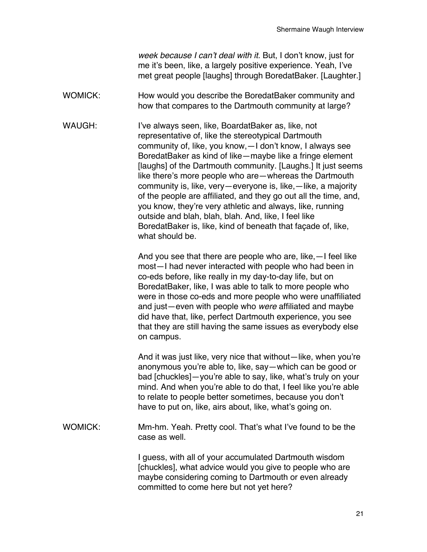*week because I can't deal with it.* But, I don't know, just for me it's been, like, a largely positive experience. Yeah, I've met great people [laughs] through BoredatBaker. [Laughter.]

- WOMICK: How would you describe the BoredatBaker community and how that compares to the Dartmouth community at large?
- WAUGH: I've always seen, like, BoardatBaker as, like, not representative of, like the stereotypical Dartmouth community of, like, you know,—I don't know, I always see BoredatBaker as kind of like—maybe like a fringe element [laughs] of the Dartmouth community. [Laughs.] It just seems like there's more people who are—whereas the Dartmouth community is, like, very—everyone is, like,—like, a majority of the people are affiliated, and they go out all the time, and, you know, they're very athletic and always, like, running outside and blah, blah, blah. And, like, I feel like BoredatBaker is, like, kind of beneath that façade of, like, what should be.

And you see that there are people who are, like,—I feel like most—I had never interacted with people who had been in co-eds before, like really in my day-to-day life, but on BoredatBaker, like, I was able to talk to more people who were in those co-eds and more people who were unaffiliated and just—even with people who *were* affiliated and maybe did have that, like, perfect Dartmouth experience, you see that they are still having the same issues as everybody else on campus.

And it was just like, very nice that without—like, when you're anonymous you're able to, like, say—which can be good or bad [chuckles]—you're able to say, like, what's truly on your mind. And when you're able to do that, I feel like you're able to relate to people better sometimes, because you don't have to put on, like, airs about, like, what's going on.

WOMICK: Mm-hm. Yeah. Pretty cool. That's what I've found to be the case as well.

> I guess, with all of your accumulated Dartmouth wisdom [chuckles], what advice would you give to people who are maybe considering coming to Dartmouth or even already committed to come here but not yet here?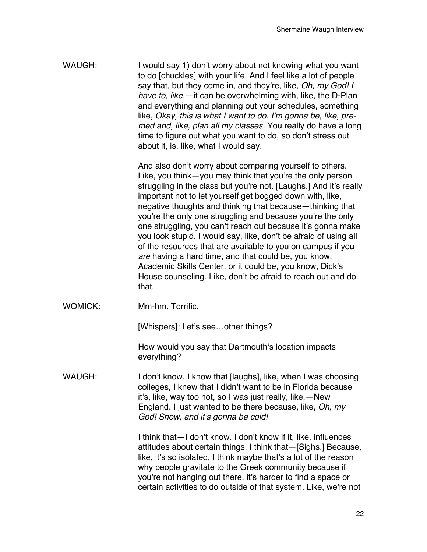WAUGH: I would say 1) don't worry about not knowing what you want to do [chuckles] with your life. And I feel like a lot of people say that, but they come in, and they're, like, *Oh, my God! I have to, like,*—it can be overwhelming with, like, the D-Plan and everything and planning out your schedules, something like, *Okay, this is what I want to do. I'm gonna be, like, premed and, like, plan all my classes.* You really do have a long time to figure out what you want to do, so don't stress out about it, is, like, what I would say.

> And also don't worry about comparing yourself to others. Like, you think—you may think that you're the only person struggling in the class but you're not. [Laughs.] And it's really important not to let yourself get bogged down with, like, negative thoughts and thinking that because—thinking that you're the only one struggling and because you're the only one struggling, you can't reach out because it's gonna make you look stupid. I would say, like, don't be afraid of using all of the resources that are available to you on campus if you *are* having a hard time, and that could be, you know, Academic Skills Center, or it could be, you know, Dick's House counseling. Like, don't be afraid to reach out and do that.

WOMICK: Mm-hm. Terrific.

[Whispers]: Let's see...other things?

How would you say that Dartmouth's location impacts everything?

WAUGH: I don't know. I know that [laughs], like, when I was choosing colleges, I knew that I didn't want to be in Florida because it's, like, way too hot, so I was just really, like,—New England. I just wanted to be there because, like, *Oh, my God! Snow, and it's gonna be cold!*

> I think that—I don't know. I don't know if it, like, influences attitudes about certain things. I think that—[Sighs.] Because, like, it's so isolated, I think maybe that's a lot of the reason why people gravitate to the Greek community because if you're not hanging out there, it's harder to find a space or certain activities to do outside of that system. Like, we're not